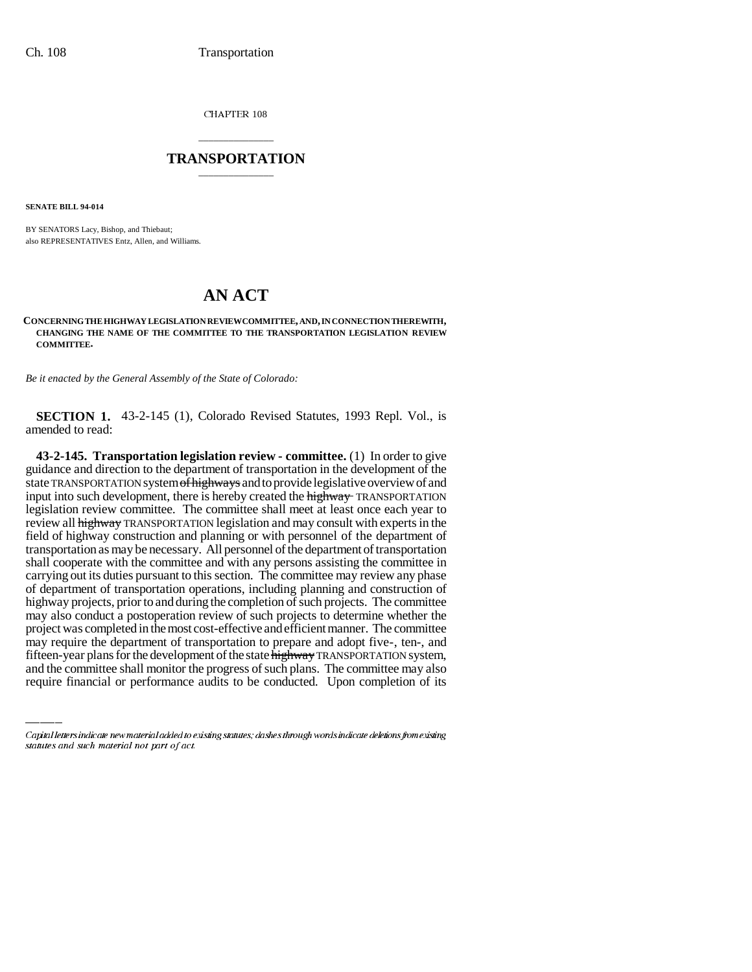CHAPTER 108

## \_\_\_\_\_\_\_\_\_\_\_\_\_\_\_ **TRANSPORTATION** \_\_\_\_\_\_\_\_\_\_\_\_\_\_\_

**SENATE BILL 94-014**

BY SENATORS Lacy, Bishop, and Thiebaut; also REPRESENTATIVES Entz, Allen, and Williams.

## **AN ACT**

## **CONCERNING THE HIGHWAY LEGISLATION REVIEW COMMITTEE, AND, IN CONNECTION THEREWITH, CHANGING THE NAME OF THE COMMITTEE TO THE TRANSPORTATION LEGISLATION REVIEW COMMITTEE.**

*Be it enacted by the General Assembly of the State of Colorado:*

**SECTION 1.** 43-2-145 (1), Colorado Revised Statutes, 1993 Repl. Vol., is amended to read:

project was completed in the most cost-effective and efficient manner. The committee **43-2-145. Transportation legislation review - committee.** (1) In order to give guidance and direction to the department of transportation in the development of the state TRANSPORTATION system of highways and to provide legislative overview of and input into such development, there is hereby created the **highway** TRANSPORTATION legislation review committee. The committee shall meet at least once each year to review all highway TRANSPORTATION legislation and may consult with experts in the field of highway construction and planning or with personnel of the department of transportation as may be necessary. All personnel of the department of transportation shall cooperate with the committee and with any persons assisting the committee in carrying out its duties pursuant to this section. The committee may review any phase of department of transportation operations, including planning and construction of highway projects, prior to and during the completion of such projects. The committee may also conduct a postoperation review of such projects to determine whether the may require the department of transportation to prepare and adopt five-, ten-, and fifteen-year plans for the development of the state highway TRANSPORTATION system, and the committee shall monitor the progress of such plans. The committee may also require financial or performance audits to be conducted. Upon completion of its

Capital letters indicate new material added to existing statutes; dashes through words indicate deletions from existing statutes and such material not part of act.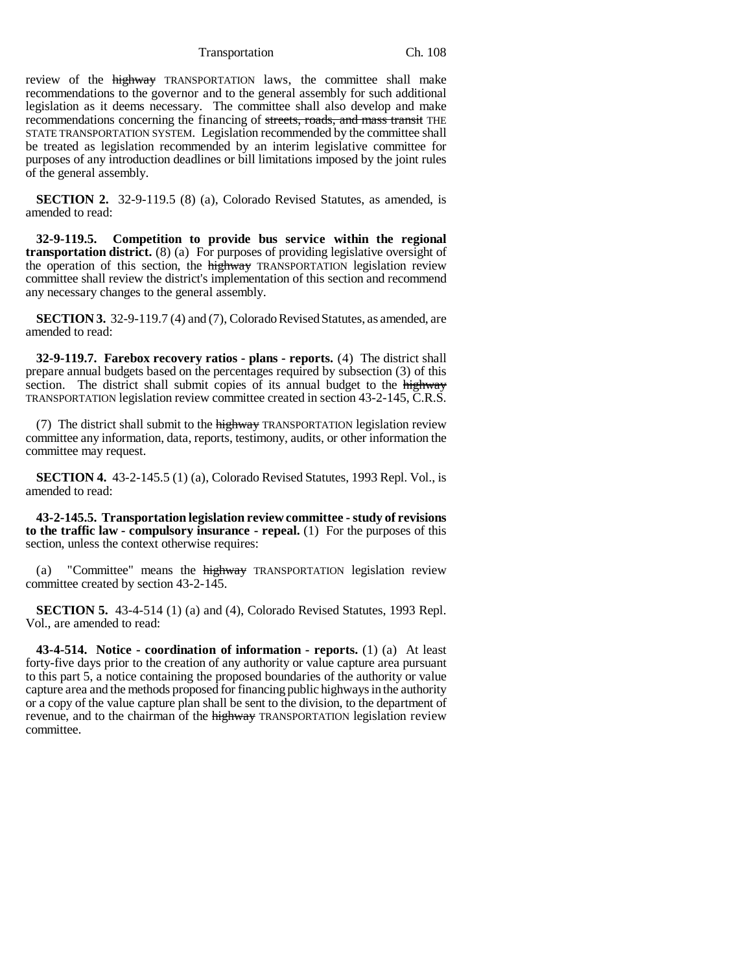Transportation Ch. 108

review of the **highway** TRANSPORTATION laws, the committee shall make recommendations to the governor and to the general assembly for such additional legislation as it deems necessary. The committee shall also develop and make recommendations concerning the financing of streets, roads, and mass transit THE STATE TRANSPORTATION SYSTEM. Legislation recommended by the committee shall be treated as legislation recommended by an interim legislative committee for purposes of any introduction deadlines or bill limitations imposed by the joint rules of the general assembly.

**SECTION 2.** 32-9-119.5 (8) (a), Colorado Revised Statutes, as amended, is amended to read:

**32-9-119.5. Competition to provide bus service within the regional transportation district.** (8) (a) For purposes of providing legislative oversight of the operation of this section, the highway TRANSPORTATION legislation review committee shall review the district's implementation of this section and recommend any necessary changes to the general assembly.

**SECTION 3.** 32-9-119.7 (4) and (7), Colorado Revised Statutes, as amended, are amended to read:

**32-9-119.7. Farebox recovery ratios - plans - reports.** (4) The district shall prepare annual budgets based on the percentages required by subsection (3) of this section. The district shall submit copies of its annual budget to the highway TRANSPORTATION legislation review committee created in section 43-2-145, C.R.S.

(7) The district shall submit to the highway TRANSPORTATION legislation review committee any information, data, reports, testimony, audits, or other information the committee may request.

**SECTION 4.** 43-2-145.5 (1) (a), Colorado Revised Statutes, 1993 Repl. Vol., is amended to read:

**43-2-145.5. Transportation legislation review committee - study of revisions to the traffic law - compulsory insurance - repeal.** (1) For the purposes of this section, unless the context otherwise requires:

(a) "Committee" means the highway TRANSPORTATION legislation review committee created by section 43-2-145.

**SECTION 5.** 43-4-514 (1) (a) and (4), Colorado Revised Statutes, 1993 Repl. Vol., are amended to read:

**43-4-514. Notice - coordination of information - reports.** (1) (a) At least forty-five days prior to the creation of any authority or value capture area pursuant to this part 5, a notice containing the proposed boundaries of the authority or value capture area and the methods proposed for financing public highways in the authority or a copy of the value capture plan shall be sent to the division, to the department of revenue, and to the chairman of the highway TRANSPORTATION legislation review committee.